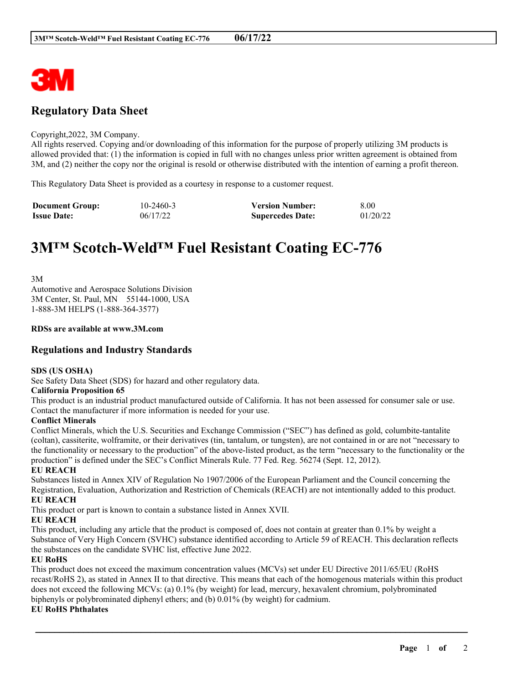

# **Regulatory Data Sheet**

#### Copyright,2022, 3M Company.

All rights reserved. Copying and/or downloading of this information for the purpose of properly utilizing 3M products is allowed provided that: (1) the information is copied in full with no changes unless prior written agreement is obtained from 3M, and (2) neither the copy nor the original is resold or otherwise distributed with the intention of earning a profit thereon.

This Regulatory Data Sheet is provided as a courtesy in response to a customer request.

| <b>Document Group:</b> | $10 - 2460 - 3$ | <b>Version Number:</b>  | 8.00     |
|------------------------|-----------------|-------------------------|----------|
| <b>Issue Date:</b>     | 06/17/22        | <b>Supercedes Date:</b> | 01/20/22 |

# **3M™ Scotch-Weld™ Fuel Resistant Coating EC-776**

3M Automotive and Aerospace Solutions Division 3M Center, St. Paul, MN 55144-1000, USA 1-888-3M HELPS (1-888-364-3577)

#### **RDSs are available at www.3M.com**

## **Regulations and Industry Standards**

#### **SDS (US OSHA)**

See Safety Data Sheet (SDS) for hazard and other regulatory data.

#### **California Proposition 65**

This product is an industrial product manufactured outside of California. It has not been assessed for consumer sale or use. Contact the manufacturer if more information is needed for your use.

#### **Conflict Minerals**

Conflict Minerals, which the U.S. Securities and Exchange Commission ("SEC") has defined as gold, columbite-tantalite (coltan), cassiterite, wolframite, or their derivatives (tin, tantalum, or tungsten), are not contained in or are not "necessary to the functionality or necessary to the production" of the above-listed product, as the term "necessary to the functionality or the production" is defined under the SEC's Conflict Minerals Rule. 77 Fed. Reg. 56274 (Sept. 12, 2012).

#### **EU REACH**

Substances listed in Annex XIV of Regulation No 1907/2006 of the European Parliament and the Council concerning the Registration, Evaluation, Authorization and Restriction of Chemicals (REACH) are not intentionally added to this product. **EU REACH**

This product or part is known to contain a substance listed in Annex XVII.

### **EU REACH**

This product, including any article that the product is composed of, does not contain at greater than 0.1% by weight a Substance of Very High Concern (SVHC) substance identified according to Article 59 of REACH. This declaration reflects the substances on the candidate SVHC list, effective June 2022.

#### **EU RoHS**

This product does not exceed the maximum concentration values (MCVs) set under EU Directive 2011/65/EU (RoHS recast/RoHS 2), as stated in Annex II to that directive. This means that each of the homogenous materials within this product does not exceed the following MCVs: (a) 0.1% (by weight) for lead, mercury, hexavalent chromium, polybrominated biphenyls or polybrominated diphenyl ethers; and (b) 0.01% (by weight) for cadmium.

\_\_\_\_\_\_\_\_\_\_\_\_\_\_\_\_\_\_\_\_\_\_\_\_\_\_\_\_\_\_\_\_\_\_\_\_\_\_\_\_\_\_\_\_\_\_\_\_\_\_\_\_\_\_\_\_\_\_\_\_\_\_\_\_\_\_\_\_\_\_\_\_\_\_\_\_\_\_\_\_\_\_\_\_\_\_\_\_\_\_

#### **EU RoHS Phthalates**